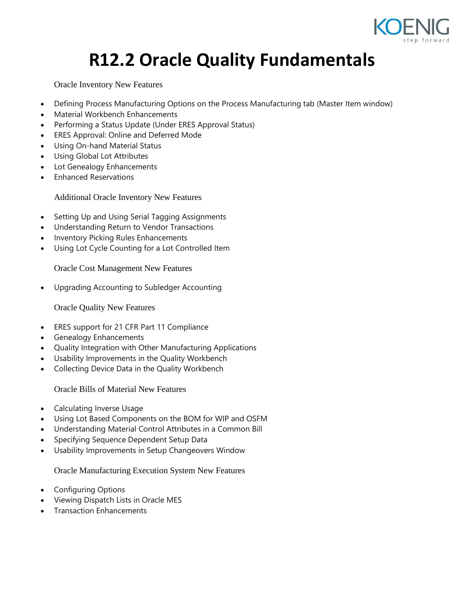

## **R12.2 Oracle Quality Fundamentals**

Oracle Inventory New Features

- Defining Process Manufacturing Options on the Process Manufacturing tab (Master Item window)
- Material Workbench Enhancements
- Performing a Status Update (Under ERES Approval Status)
- ERES Approval: Online and Deferred Mode
- Using On-hand Material Status
- Using Global Lot Attributes
- Lot Genealogy Enhancements
- Enhanced Reservations

Additional Oracle Inventory New Features

- Setting Up and Using Serial Tagging Assignments
- Understanding Return to Vendor Transactions
- Inventory Picking Rules Enhancements
- Using Lot Cycle Counting for a Lot Controlled Item

Oracle Cost Management New Features

Upgrading Accounting to Subledger Accounting

Oracle Quality New Features

- ERES support for 21 CFR Part 11 Compliance
- Genealogy Enhancements
- Quality Integration with Other Manufacturing Applications
- Usability Improvements in the Quality Workbench
- Collecting Device Data in the Quality Workbench

Oracle Bills of Material New Features

- Calculating Inverse Usage
- Using Lot Based Components on the BOM for WIP and OSFM
- Understanding Material Control Attributes in a Common Bill
- Specifying Sequence Dependent Setup Data
- Usability Improvements in Setup Changeovers Window

Oracle Manufacturing Execution System New Features

- Configuring Options
- Viewing Dispatch Lists in Oracle MES
- Transaction Enhancements